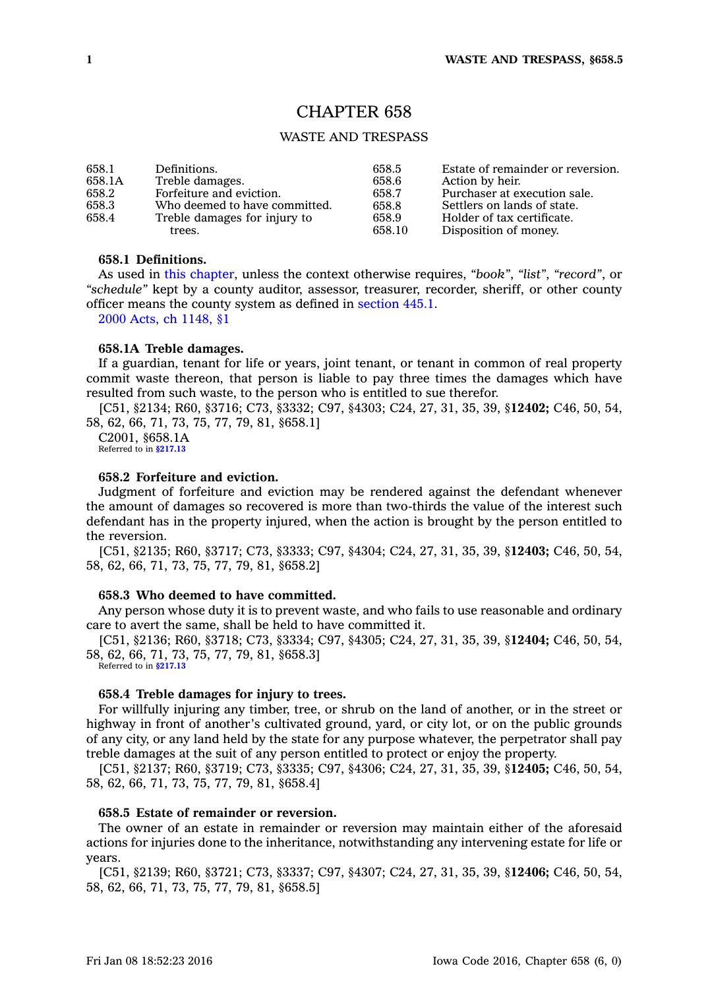# CHAPTER 658

# WASTE AND TRESPASS

| 658.1  | Definitions.                  | 658.5  | Estate of remainder or reversion. |
|--------|-------------------------------|--------|-----------------------------------|
| 658.1A | Treble damages.               | 658.6  | Action by heir.                   |
| 658.2  | Forfeiture and eviction.      | 658.7  | Purchaser at execution sale.      |
| 658.3  | Who deemed to have committed. | 658.8  | Settlers on lands of state.       |
| 658.4  | Treble damages for injury to  | 658.9  | Holder of tax certificate.        |
| trees. |                               | 658.10 | Disposition of money.             |

# **658.1 Definitions.**

As used in this [chapter](https://www.legis.iowa.gov/docs/code//658.pdf), unless the context otherwise requires, *"book"*, *"list"*, *"record"*, or *"schedule"* kept by <sup>a</sup> county auditor, assessor, treasurer, recorder, sheriff, or other county officer means the county system as defined in [section](https://www.legis.iowa.gov/docs/code//445.1.pdf) 445.1.

2000 Acts, ch [1148,](https://www.legis.iowa.gov/docs/acts/2000/CH1148.pdf) §1

#### **658.1A Treble damages.**

If <sup>a</sup> guardian, tenant for life or years, joint tenant, or tenant in common of real property commit waste thereon, that person is liable to pay three times the damages which have resulted from such waste, to the person who is entitled to sue therefor.

[C51, §2134; R60, §3716; C73, §3332; C97, §4303; C24, 27, 31, 35, 39, §**12402;** C46, 50, 54, 58, 62, 66, 71, 73, 75, 77, 79, 81, §658.1]

C2001, §658.1A Referred to in \$217.1

#### **658.2 Forfeiture and eviction.**

Judgment of forfeiture and eviction may be rendered against the defendant whenever the amount of damages so recovered is more than two-thirds the value of the interest such defendant has in the property injured, when the action is brought by the person entitled to the reversion.

[C51, §2135; R60, §3717; C73, §3333; C97, §4304; C24, 27, 31, 35, 39, §**12403;** C46, 50, 54, 58, 62, 66, 71, 73, 75, 77, 79, 81, §658.2]

### **658.3 Who deemed to have committed.**

Any person whose duty it is to prevent waste, and who fails to use reasonable and ordinary care to avert the same, shall be held to have committed it.

[C51, §2136; R60, §3718; C73, §3334; C97, §4305; C24, 27, 31, 35, 39, §**12404;** C46, 50, 54, 58, 62, 66, 71, 73, 75, 77, 79, 81, §658.3]

Referred to in **[§217.13](https://www.legis.iowa.gov/docs/code/217.13.pdf)**

# **658.4 Treble damages for injury to trees.**

For willfully injuring any timber, tree, or shrub on the land of another, or in the street or highway in front of another's cultivated ground, yard, or city lot, or on the public grounds of any city, or any land held by the state for any purpose whatever, the perpetrator shall pay treble damages at the suit of any person entitled to protect or enjoy the property.

[C51, §2137; R60, §3719; C73, §3335; C97, §4306; C24, 27, 31, 35, 39, §**12405;** C46, 50, 54, 58, 62, 66, 71, 73, 75, 77, 79, 81, §658.4]

## **658.5 Estate of remainder or reversion.**

The owner of an estate in remainder or reversion may maintain either of the aforesaid actions for injuries done to the inheritance, notwithstanding any intervening estate for life or years.

[C51, §2139; R60, §3721; C73, §3337; C97, §4307; C24, 27, 31, 35, 39, §**12406;** C46, 50, 54, 58, 62, 66, 71, 73, 75, 77, 79, 81, §658.5]